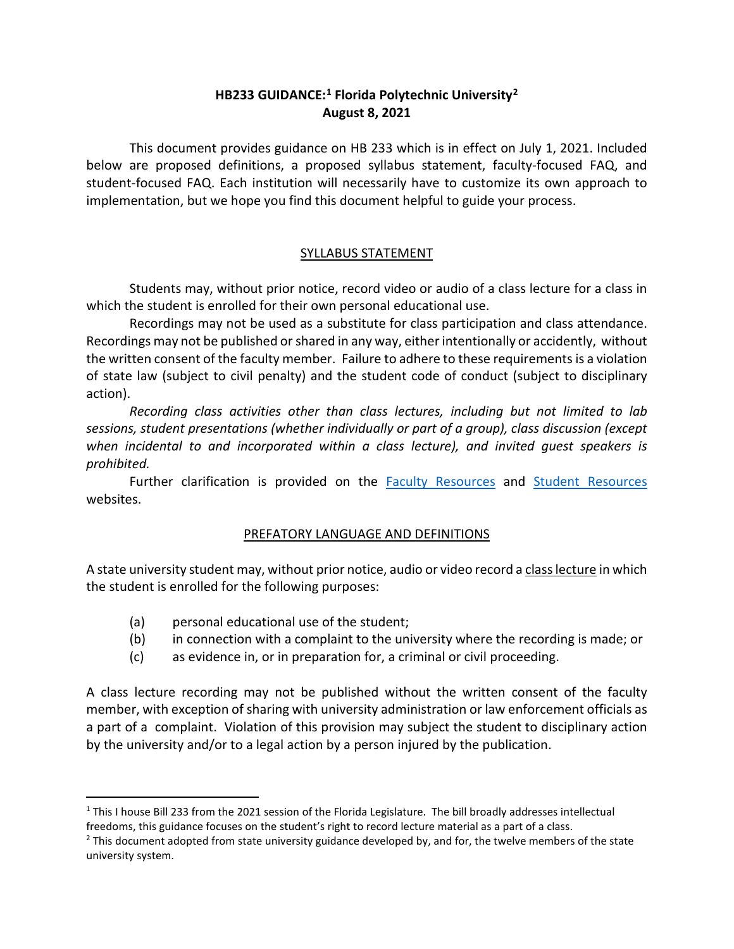## **HB233 GUIDANCE: [1](#page-0-0) Florida Polytechnic University[2](#page-0-1) August 8, 2021**

This document provides guidance on HB 233 which is in effect on July 1, 2021. Included below are proposed definitions, a proposed syllabus statement, faculty-focused FAQ, and student-focused FAQ. Each institution will necessarily have to customize its own approach to implementation, but we hope you find this document helpful to guide your process.

## SYLLABUS STATEMENT

Students may, without prior notice, record video or audio of a class lecture for a class in which the student is enrolled for their own personal educational use.

Recordings may not be used as a substitute for class participation and class attendance. Recordings may not be published or shared in any way, either intentionally or accidently, without the written consent of the faculty member. Failure to adhere to these requirements is a violation of state law (subject to civil penalty) and the student code of conduct (subject to disciplinary action).

*Recording class activities other than class lectures, including but not limited to lab sessions, student presentations (whether individually or part of a group), class discussion (except when incidental to and incorporated within a class lecture), and invited guest speakers is prohibited.*

Further clarification is provided on the **[Faculty Resources](https://floridapoly.edu/provost/faculty-resources.php)** and **[Student Resources](https://floridapoly.edu/student-affairs/academic-support-services.php)** websites.

## PREFATORY LANGUAGE AND DEFINITIONS

A state university student may, without prior notice, audio or video record a class lecture in which the student is enrolled for the following purposes:

- (a) personal educational use of the student;
- (b) in connection with a complaint to the university where the recording is made; or
- (c) as evidence in, or in preparation for, a criminal or civil proceeding.

A class lecture recording may not be published without the written consent of the faculty member, with exception of sharing with university administration or law enforcement officials as a part of a complaint. Violation of this provision may subject the student to disciplinary action by the university and/or to a legal action by a person injured by the publication.

<span id="page-0-0"></span> $1$  This I house Bill 233 from the 2021 session of the Florida Legislature. The bill broadly addresses intellectual freedoms, this guidance focuses on the student's right to record lecture material as a part of a class.

<span id="page-0-1"></span><sup>&</sup>lt;sup>2</sup> This document adopted from state university guidance developed by, and for, the twelve members of the state university system.